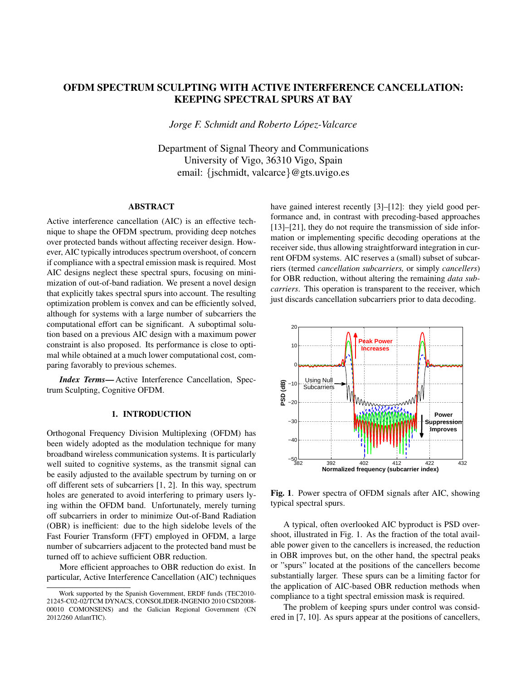# OFDM SPECTRUM SCULPTING WITH ACTIVE INTERFERENCE CANCELLATION: KEEPING SPECTRAL SPURS AT BAY

*Jorge F. Schmidt and Roberto Lopez-Valcarce ´*

Department of Signal Theory and Communications University of Vigo, 36310 Vigo, Spain email: {jschmidt, valcarce}@gts.uvigo.es

### ABSTRACT

Active interference cancellation (AIC) is an effective technique to shape the OFDM spectrum, providing deep notches over protected bands without affecting receiver design. However, AIC typically introduces spectrum overshoot, of concern if compliance with a spectral emission mask is required. Most AIC designs neglect these spectral spurs, focusing on minimization of out-of-band radiation. We present a novel design that explicitly takes spectral spurs into account. The resulting optimization problem is convex and can be efficiently solved, although for systems with a large number of subcarriers the computational effort can be significant. A suboptimal solution based on a previous AIC design with a maximum power constraint is also proposed. Its performance is close to optimal while obtained at a much lower computational cost, comparing favorably to previous schemes.

*Index Terms*—Active Interference Cancellation, Spectrum Sculpting, Cognitive OFDM.

## 1. INTRODUCTION

Orthogonal Frequency Division Multiplexing (OFDM) has been widely adopted as the modulation technique for many broadband wireless communication systems. It is particularly well suited to cognitive systems, as the transmit signal can be easily adjusted to the available spectrum by turning on or off different sets of subcarriers [1, 2]. In this way, spectrum holes are generated to avoid interfering to primary users lying within the OFDM band. Unfortunately, merely turning off subcarriers in order to minimize Out-of-Band Radiation (OBR) is inefficient: due to the high sidelobe levels of the Fast Fourier Transform (FFT) employed in OFDM, a large number of subcarriers adjacent to the protected band must be turned off to achieve sufficient OBR reduction.

More efficient approaches to OBR reduction do exist. In particular, Active Interference Cancellation (AIC) techniques have gained interest recently [3]–[12]: they yield good performance and, in contrast with precoding-based approaches [13]–[21], they do not require the transmission of side information or implementing specific decoding operations at the receiver side, thus allowing straightforward integration in current OFDM systems. AIC reserves a (small) subset of subcarriers (termed *cancellation subcarriers,* or simply *cancellers*) for OBR reduction, without altering the remaining *data subcarriers*. This operation is transparent to the receiver, which just discards cancellation subcarriers prior to data decoding.



Fig. 1. Power spectra of OFDM signals after AIC, showing typical spectral spurs.

A typical, often overlooked AIC byproduct is PSD overshoot, illustrated in Fig. 1. As the fraction of the total available power given to the cancellers is increased, the reduction in OBR improves but, on the other hand, the spectral peaks or "spurs" located at the positions of the cancellers become substantially larger. These spurs can be a limiting factor for the application of AIC-based OBR reduction methods when compliance to a tight spectral emission mask is required.

The problem of keeping spurs under control was considered in [7, 10]. As spurs appear at the positions of cancellers,

Work supported by the Spanish Government, ERDF funds (TEC2010- 21245-C02-02/TCM DYNACS, CONSOLIDER-INGENIO 2010 CSD2008- 00010 COMONSENS) and the Galician Regional Government (CN 2012/260 AtlantTIC).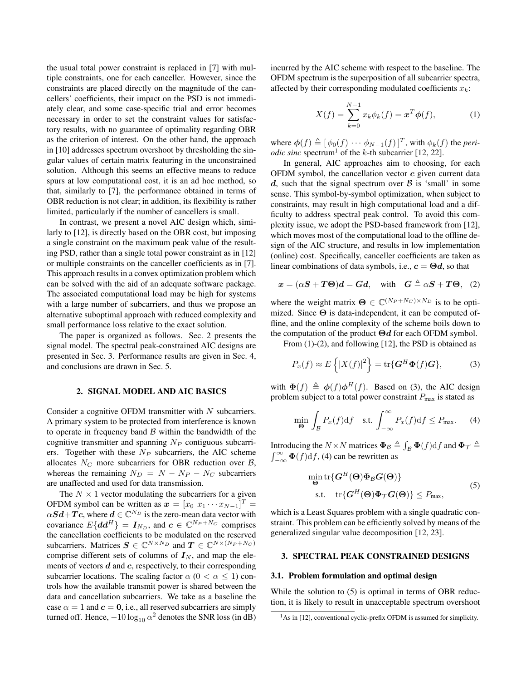the usual total power constraint is replaced in [7] with multiple constraints, one for each canceller. However, since the constraints are placed directly on the magnitude of the cancellers' coefficients, their impact on the PSD is not immediately clear, and some case-specific trial and error becomes necessary in order to set the constraint values for satisfactory results, with no guarantee of optimality regarding OBR as the criterion of interest. On the other hand, the approach in [10] addresses spectrum overshoot by thresholding the singular values of certain matrix featuring in the unconstrained solution. Although this seems an effective means to reduce spurs at low computational cost, it is an ad hoc method, so that, similarly to [7], the performance obtained in terms of OBR reduction is not clear; in addition, its flexibility is rather limited, particularly if the number of cancellers is small.

In contrast, we present a novel AIC design which, similarly to [12], is directly based on the OBR cost, but imposing a single constraint on the maximum peak value of the resulting PSD, rather than a single total power constraint as in [12] or multiple constraints on the canceller coefficients as in [7]. This approach results in a convex optimization problem which can be solved with the aid of an adequate software package. The associated computational load may be high for systems with a large number of subcarriers, and thus we propose an alternative suboptimal approach with reduced complexity and small performance loss relative to the exact solution.

The paper is organized as follows. Sec. 2 presents the signal model. The spectral peak-constrained AIC designs are presented in Sec. 3. Performance results are given in Sec. 4, and conclusions are drawn in Sec. 5.

#### 2. SIGNAL MODEL AND AIC BASICS

Consider a cognitive OFDM transmitter with  $N$  subcarriers. A primary system to be protected from interference is known to operate in frequency band  $\beta$  within the bandwidth of the cognitive transmitter and spanning  $N_P$  contiguous subcarriers. Together with these  $N_P$  subcarriers, the AIC scheme allocates  $N_C$  more subcarriers for OBR reduction over  $B$ , whereas the remaining  $N_D = N - N_P - N_C$  subcarriers are unaffected and used for data transmission.

The  $N \times 1$  vector modulating the subcarriers for a given OFDM symbol can be written as  $x = [x_0 \ x_1 \cdots x_{N-1}]^T =$  $\alpha Sd+Tc$ , where  $d \in \mathbb{C}^{N_D}$  is the zero-mean data vector with covariance  $E\{dd^H\} = I_{N_D}$ , and  $c \in \mathbb{C}^{N_P+N_C}$  comprises the cancellation coefficients to be modulated on the reserved subcarriers. Matrices  $S \in \mathbb{C}^{N \times N_D}$  and  $T \in \mathbb{C}^{N \times (N_P + N_C)}$ comprise different sets of columns of  $I_N$ , and map the elements of vectors  $d$  and  $c$ , respectively, to their corresponding subcarrier locations. The scaling factor  $\alpha$  ( $0 < \alpha \leq 1$ ) controls how the available transmit power is shared between the data and cancellation subcarriers. We take as a baseline the case  $\alpha = 1$  and  $\mathbf{c} = \mathbf{0}$ , i.e., all reserved subcarriers are simply turned off. Hence,  $-10\log_{10}\alpha^2$  denotes the SNR loss (in dB) incurred by the AIC scheme with respect to the baseline. The OFDM spectrum is the superposition of all subcarrier spectra, affected by their corresponding modulated coefficients  $x_k$ :

$$
X(f) = \sum_{k=0}^{N-1} x_k \phi_k(f) = \mathbf{x}^T \phi(f), \tag{1}
$$

where  $\phi(f) \triangleq [\phi_0(f) \cdots \phi_{N-1}(f)]^T$ , with  $\phi_k(f)$  the *periodic sinc* spectrum<sup>1</sup> of the k-th subcarrier [12, 22].

In general, AIC approaches aim to choosing, for each OFDM symbol, the cancellation vector  $c$  given current data d, such that the signal spectrum over  $\beta$  is 'small' in some sense. This symbol-by-symbol optimization, when subject to constraints, may result in high computational load and a difficulty to address spectral peak control. To avoid this complexity issue, we adopt the PSD-based framework from [12], which moves most of the computational load to the offline design of the AIC structure, and results in low implementation (online) cost. Specifically, canceller coefficients are taken as linear combinations of data symbols, i.e.,  $c = \Theta d$ , so that

$$
x = (\alpha S + T\Theta)d = Gd, \text{ with } G \triangleq \alpha S + T\Theta, (2)
$$

where the weight matrix  $\mathbf{\Theta} \in \mathbb{C}^{(N_P+N_C) \times N_D}$  is to be optimized. Since  $\Theta$  is data-independent, it can be computed offline, and the online complexity of the scheme boils down to the computation of the product  $\Theta d$  for each OFDM symbol.

From  $(1)-(2)$ , and following [12], the PSD is obtained as

$$
P_x(f) \approx E\left\{ |X(f)|^2 \right\} = \text{tr}\{\mathbf{G}^H \mathbf{\Phi}(f) \mathbf{G} \},\tag{3}
$$

with  $\mathbf{\Phi}(f) \triangleq \phi(f) \phi^H(f)$ . Based on (3), the AIC design problem subject to a total power constraint  $P_{\text{max}}$  is stated as

$$
\min_{\Theta} \int_{\mathcal{B}} P_x(f) \mathrm{d}f \quad \text{s.t.} \int_{-\infty}^{\infty} P_x(f) \mathrm{d}f \le P_{\text{max}}.\tag{4}
$$

Introducing the  $N \times N$  matrices  $\Phi_B \triangleq \int_B \Phi(f) df$  and  $\Phi_{\mathcal{T}} \triangleq$  $\int_{-\infty}^{\infty} \mathbf{\Phi}(f) \mathrm{d}f$ , (4) can be rewritten as

$$
\min_{\Theta} \text{tr}\{G^H(\Theta)\Phi_B G(\Theta)\}\
$$
\n
$$
\text{s.t.} \quad \text{tr}\{G^H(\Theta)\Phi_{\mathcal{T}} G(\Theta)\}\le P_{\text{max}},\tag{5}
$$

which is a Least Squares problem with a single quadratic constraint. This problem can be efficiently solved by means of the generalized singular value decomposition [12, 23].

## 3. SPECTRAL PEAK CONSTRAINED DESIGNS

#### 3.1. Problem formulation and optimal design

While the solution to (5) is optimal in terms of OBR reduction, it is likely to result in unacceptable spectrum overshoot

<sup>&</sup>lt;sup>1</sup>As in [12], conventional cyclic-prefix OFDM is assumed for simplicity.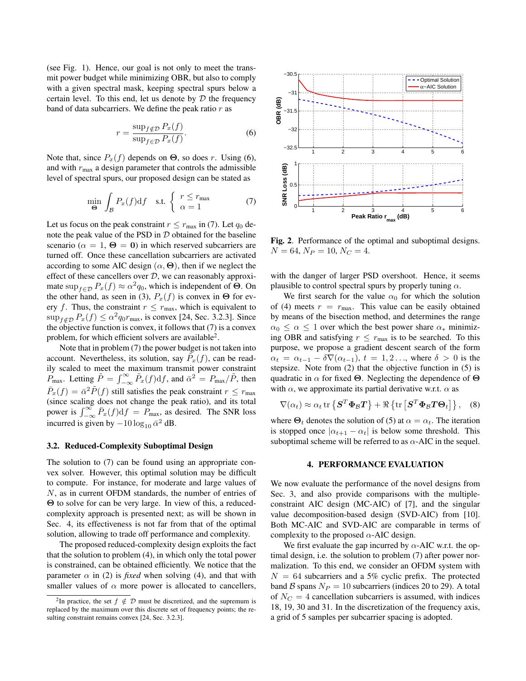(see Fig. 1). Hence, our goal is not only to meet the transmit power budget while minimizing OBR, but also to comply with a given spectral mask, keeping spectral spurs below a certain level. To this end, let us denote by  $D$  the frequency band of data subcarriers. We define the peak ratio  $r$  as

$$
r = \frac{\sup_{f \notin \mathcal{D}} P_x(f)}{\sup_{f \in \mathcal{D}} P_x(f)}.
$$
\n(6)

Note that, since  $P_x(f)$  depends on  $\Theta$ , so does r. Using (6), and with  $r_{\text{max}}$  a design parameter that controls the admissible level of spectral spurs, our proposed design can be stated as

$$
\min_{\Theta} \int_{\mathcal{B}} P_x(f) \mathrm{d}f \quad \text{s.t.} \begin{cases} r \le r_{\text{max}} \\ \alpha = 1 \end{cases} \tag{7}
$$

Let us focus on the peak constraint  $r \leq r_{\text{max}}$  in (7). Let  $q_0$  denote the peak value of the PSD in  $D$  obtained for the baseline scenario ( $\alpha = 1$ ,  $\Theta = 0$ ) in which reserved subcarriers are turned off. Once these cancellation subcarriers are activated according to some AIC design  $(\alpha, \Theta)$ , then if we neglect the effect of these cancellers over  $D$ , we can reasonably approximate  $\sup_{f \in \mathcal{D}} P_x(f) \approx \alpha^2 q_0$ , which is independent of  $\Theta$ . On the other hand, as seen in (3),  $P_x(f)$  is convex in  $\Theta$  for every f. Thus, the constraint  $r \leq r_{\text{max}}$ , which is equivalent to  $\sup_{f \notin \mathcal{D}} P_x(f) \leq \alpha^2 q_0 r_{\text{max}}$ , is convex [24, Sec. 3.2.3]. Since the objective function is convex, it follows that (7) is a convex problem, for which efficient solvers are available<sup>2</sup>.

Note that in problem (7) the power budget is not taken into account. Nevertheless, its solution, say  $\tilde{P}_x(f)$ , can be readily scaled to meet the maximum transmit power constraint  $P_{\text{max}}$ . Letting  $\tilde{P} = \int_{-\infty}^{\infty} \tilde{P}_x(f) \mathrm{d}f$ , and  $\bar{\alpha}^2 = P_{\text{max}} / \tilde{P}$ , then  $\bar{P}_x(f) = \bar{\alpha}^2 \tilde{P}(f)$  still satisfies the peak constraint  $r \le r_{\text{max}}$ (since scaling does not change the peak ratio), and its total power is  $\int_{-\infty}^{\infty} \bar{P}_x(f) df = \overline{P}_{\text{max}}$ , as desired. The SNR loss incurred is given by  $-10 \log_{10} \bar{\alpha}^2$  dB.

#### 3.2. Reduced-Complexity Suboptimal Design

The solution to (7) can be found using an appropriate convex solver. However, this optimal solution may be difficult to compute. For instance, for moderate and large values of N, as in current OFDM standards, the number of entries of Θ to solve for can be very large. In view of this, a reducedcomplexity approach is presented next; as will be shown in Sec. 4, its effectiveness is not far from that of the optimal solution, allowing to trade off performance and complexity.

The proposed reduced-complexity design exploits the fact that the solution to problem (4), in which only the total power is constrained, can be obtained efficiently. We notice that the parameter  $\alpha$  in (2) is *fixed* when solving (4), and that with smaller values of  $\alpha$  more power is allocated to cancellers,



Fig. 2. Performance of the optimal and suboptimal designs.  $N = 64, N_P = 10, N_C = 4.$ 

with the danger of larger PSD overshoot. Hence, it seems plausible to control spectral spurs by properly tuning  $\alpha$ .

We first search for the value  $\alpha_0$  for which the solution of (4) meets  $r = r_{\text{max}}$ . This value can be easily obtained by means of the bisection method, and determines the range  $\alpha_0 \leq \alpha \leq 1$  over which the best power share  $\alpha_*$  minimizing OBR and satisfying  $r \leq r_{\text{max}}$  is to be searched. To this purpose, we propose a gradient descent search of the form  $\alpha_t = \alpha_{t-1} - \delta \nabla(\alpha_{t-1}), t = 1, 2, \ldots$ , where  $\delta > 0$  is the stepsize. Note from (2) that the objective function in (5) is quadratic in  $\alpha$  for fixed Θ. Neglecting the dependence of Θ with  $\alpha$ , we approximate its partial derivative w.r.t.  $\alpha$  as

$$
\nabla(\alpha_t) \approx \alpha_t \operatorname{tr} \left\{ \mathbf{S}^T \mathbf{\Phi}_B \mathbf{T} \right\} + \Re \left\{ \operatorname{tr} \left[ \mathbf{S}^T \mathbf{\Phi}_B \mathbf{T} \mathbf{\Theta}_t \right] \right\}, \quad (8)
$$

where  $\Theta_t$  denotes the solution of (5) at  $\alpha = \alpha_t$ . The iteration is stopped once  $|\alpha_{t+1} - \alpha_t|$  is below some threshold. This suboptimal scheme will be referred to as  $\alpha$ -AIC in the sequel.

#### 4. PERFORMANCE EVALUATION

We now evaluate the performance of the novel designs from Sec. 3, and also provide comparisons with the multipleconstraint AIC design (MC-AIC) of [7], and the singular value decomposition-based design (SVD-AIC) from [10]. Both MC-AIC and SVD-AIC are comparable in terms of complexity to the proposed  $\alpha$ -AIC design.

We first evaluate the gap incurred by  $\alpha$ -AIC w.r.t. the optimal design, i.e. the solution to problem (7) after power normalization. To this end, we consider an OFDM system with  $N = 64$  subcarriers and a 5% cyclic prefix. The protected band B spans  $N_P = 10$  subcarriers (indices 20 to 29). A total of  $N_C = 4$  cancellation subcarriers is assumed, with indices 18, 19, 30 and 31. In the discretization of the frequency axis, a grid of 5 samples per subcarrier spacing is adopted.

<sup>&</sup>lt;sup>2</sup>In practice, the set  $f \notin \mathcal{D}$  must be discretized, and the supremum is replaced by the maximum over this discrete set of frequency points; the resulting constraint remains convex [24, Sec. 3.2.3].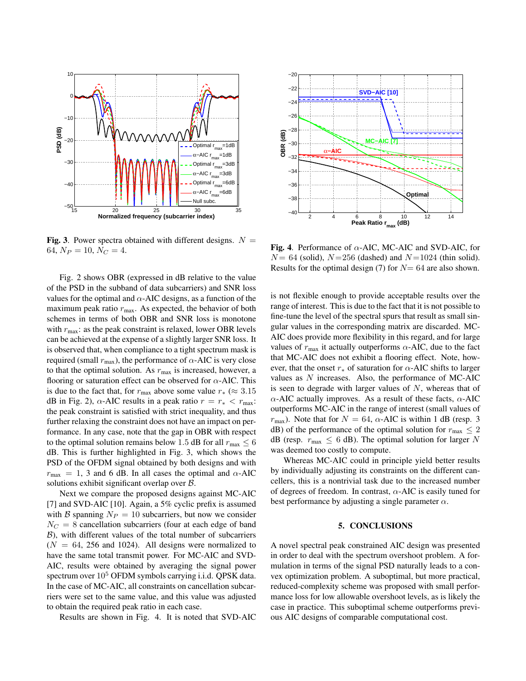

Fig. 3. Power spectra obtained with different designs.  $N =$ 64,  $N_P = 10$ ,  $N_C = 4$ .

Fig. 2 shows OBR (expressed in dB relative to the value of the PSD in the subband of data subcarriers) and SNR loss values for the optimal and  $\alpha$ -AIC designs, as a function of the maximum peak ratio  $r_{\text{max}}$ . As expected, the behavior of both schemes in terms of both OBR and SNR loss is monotone with  $r_{\text{max}}$ : as the peak constraint is relaxed, lower OBR levels can be achieved at the expense of a slightly larger SNR loss. It is observed that, when compliance to a tight spectrum mask is required (small  $r_{\text{max}}$ ), the performance of  $\alpha$ -AIC is very close to that the optimal solution. As  $r_{\text{max}}$  is increased, however, a flooring or saturation effect can be observed for  $\alpha$ -AIC. This is due to the fact that, for  $r_{\text{max}}$  above some value  $r_* \approx 3.15$ dB in Fig. 2),  $\alpha$ -AIC results in a peak ratio  $r = r_* < r_{\text{max}}$ : the peak constraint is satisfied with strict inequality, and thus further relaxing the constraint does not have an impact on performance. In any case, note that the gap in OBR with respect to the optimal solution remains below 1.5 dB for all  $r_{\text{max}} \leq 6$ dB. This is further highlighted in Fig. 3, which shows the PSD of the OFDM signal obtained by both designs and with  $r_{\text{max}} = 1$ , 3 and 6 dB. In all cases the optimal and  $\alpha$ -AIC solutions exhibit significant overlap over B.

Next we compare the proposed designs against MC-AIC [7] and SVD-AIC [10]. Again, a 5% cyclic prefix is assumed with B spanning  $N_P = 10$  subcarriers, but now we consider  $N_C = 8$  cancellation subcarriers (four at each edge of band  $B$ ), with different values of the total number of subcarriers  $(N = 64, 256, and 1024)$ . All designs were normalized to have the same total transmit power. For MC-AIC and SVD-AIC, results were obtained by averaging the signal power spectrum over  $10<sup>5</sup>$  OFDM symbols carrying i.i.d. QPSK data. In the case of MC-AIC, all constraints on cancellation subcarriers were set to the same value, and this value was adjusted to obtain the required peak ratio in each case.

Results are shown in Fig. 4. It is noted that SVD-AIC



Fig. 4. Performance of  $\alpha$ -AIC, MC-AIC and SVD-AIC, for  $N = 64$  (solid),  $N = 256$  (dashed) and  $N = 1024$  (thin solid). Results for the optimal design (7) for  $N=64$  are also shown.

is not flexible enough to provide acceptable results over the range of interest. This is due to the fact that it is not possible to fine-tune the level of the spectral spurs that result as small singular values in the corresponding matrix are discarded. MC-AIC does provide more flexibility in this regard, and for large values of  $r_{\text{max}}$  it actually outperforms  $\alpha$ -AIC, due to the fact that MC-AIC does not exhibit a flooring effect. Note, however, that the onset  $r_*$  of saturation for  $\alpha$ -AIC shifts to larger values as N increases. Also, the performance of MC-AIC is seen to degrade with larger values of  $N$ , whereas that of  $\alpha$ -AIC actually improves. As a result of these facts,  $\alpha$ -AIC outperforms MC-AIC in the range of interest (small values of  $r_{\text{max}}$ ). Note that for  $N = 64$ ,  $\alpha$ -AIC is within 1 dB (resp. 3 dB) of the performance of the optimal solution for  $r_{\text{max}} \leq 2$ dB (resp.  $r_{\text{max}} \leq 6$  dB). The optimal solution for larger N was deemed too costly to compute.

Whereas MC-AIC could in principle yield better results by individually adjusting its constraints on the different cancellers, this is a nontrivial task due to the increased number of degrees of freedom. In contrast,  $\alpha$ -AIC is easily tuned for best performance by adjusting a single parameter  $\alpha$ .

### 5. CONCLUSIONS

A novel spectral peak constrained AIC design was presented in order to deal with the spectrum overshoot problem. A formulation in terms of the signal PSD naturally leads to a convex optimization problem. A suboptimal, but more practical, reduced-complexity scheme was proposed with small performance loss for low allowable overshoot levels, as is likely the case in practice. This suboptimal scheme outperforms previous AIC designs of comparable computational cost.